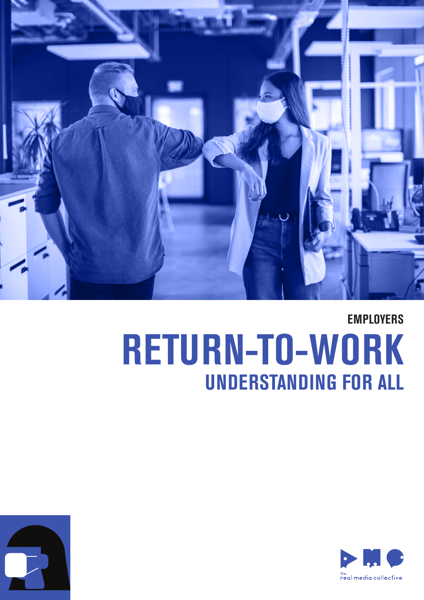

## **RETURN-TO-WORK UNDERSTANDING FOR ALL EMPLOYERS**



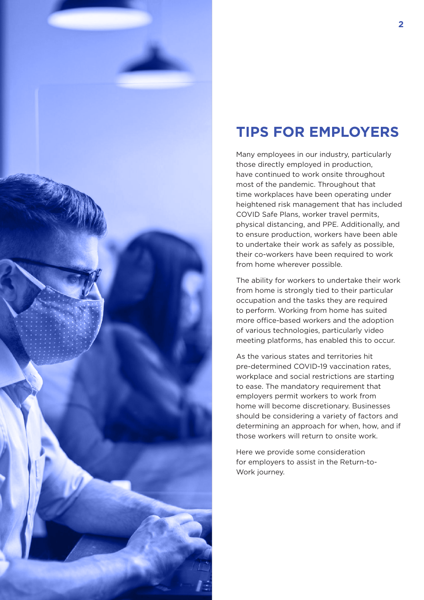

### **TIPS FOR EMPLOYERS**

Many employees in our industry, particularly those directly employed in production, have continued to work onsite throughout most of the pandemic. Throughout that time workplaces have been operating under heightened risk management that has included COVID Safe Plans, worker travel permits, physical distancing, and PPE. Additionally, and to ensure production, workers have been able to undertake their work as safely as possible, their co-workers have been required to work from home wherever possible.

The ability for workers to undertake their work from home is strongly tied to their particular occupation and the tasks they are required to perform. Working from home has suited more office-based workers and the adoption of various technologies, particularly video meeting platforms, has enabled this to occur.

As the various states and territories hit pre-determined COVID-19 vaccination rates, workplace and social restrictions are starting to ease. The mandatory requirement that employers permit workers to work from home will become discretionary. Businesses should be considering a variety of factors and determining an approach for when, how, and if those workers will return to onsite work.

Here we provide some consideration for employers to assist in the Return-to-Work journey.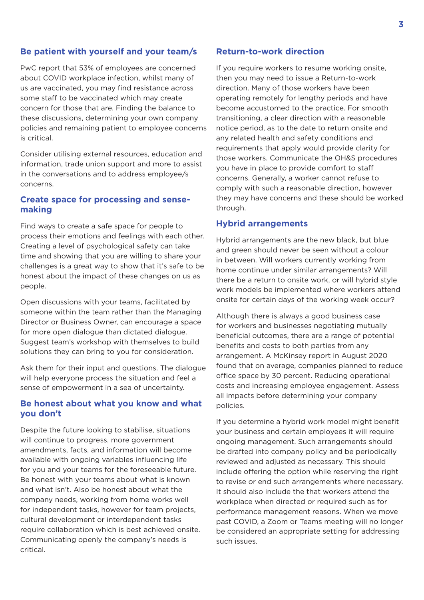#### **Be patient with yourself and your team/s**

PwC report that 53% of employees are concerned about COVID workplace infection, whilst many of us are vaccinated, you may find resistance across some staff to be vaccinated which may create concern for those that are. Finding the balance to these discussions, determining your own company policies and remaining patient to employee concerns is critical.

Consider utilising external resources, education and information, trade union support and more to assist in the conversations and to address employee/s concerns.

#### **Create space for processing and sensemaking**

Find ways to create a safe space for people to process their emotions and feelings with each other. Creating a level of psychological safety can take time and showing that you are willing to share your challenges is a great way to show that it's safe to be honest about the impact of these changes on us as people.

Open discussions with your teams, facilitated by someone within the team rather than the Managing Director or Business Owner, can encourage a space for more open dialogue than dictated dialogue. Suggest team's workshop with themselves to build solutions they can bring to you for consideration.

Ask them for their input and questions. The dialogue will help everyone process the situation and feel a sense of empowerment in a sea of uncertainty.

#### **Be honest about what you know and what you don't**

Despite the future looking to stabilise, situations will continue to progress, more government amendments, facts, and information will become available with ongoing variables influencing life for you and your teams for the foreseeable future. Be honest with your teams about what is known and what isn't. Also be honest about what the company needs, working from home works well for independent tasks, however for team projects, cultural development or interdependent tasks require collaboration which is best achieved onsite. Communicating openly the company's needs is critical.

#### **Return-to-work direction**

If you require workers to resume working onsite, then you may need to issue a Return-to-work direction. Many of those workers have been operating remotely for lengthy periods and have become accustomed to the practice. For smooth transitioning, a clear direction with a reasonable notice period, as to the date to return onsite and any related health and safety conditions and requirements that apply would provide clarity for those workers. Communicate the OH&S procedures you have in place to provide comfort to staff concerns. Generally, a worker cannot refuse to comply with such a reasonable direction, however they may have concerns and these should be worked through.

#### **Hybrid arrangements**

Hybrid arrangements are the new black, but blue and green should never be seen without a colour in between. Will workers currently working from home continue under similar arrangements? Will there be a return to onsite work, or will hybrid style work models be implemented where workers attend onsite for certain days of the working week occur?

Although there is always a good business case for workers and businesses negotiating mutually beneficial outcomes, there are a range of potential benefits and costs to both parties from any arrangement. A McKinsey report in August 2020 found that on average, companies planned to reduce office space by 30 percent. Reducing operational costs and increasing employee engagement. Assess all impacts before determining your company policies.

If you determine a hybrid work model might benefit your business and certain employees it will require ongoing management. Such arrangements should be drafted into company policy and be periodically reviewed and adjusted as necessary. This should include offering the option while reserving the right to revise or end such arrangements where necessary. It should also include the that workers attend the workplace when directed or required such as for performance management reasons. When we move past COVID, a Zoom or Teams meeting will no longer be considered an appropriate setting for addressing such issues.